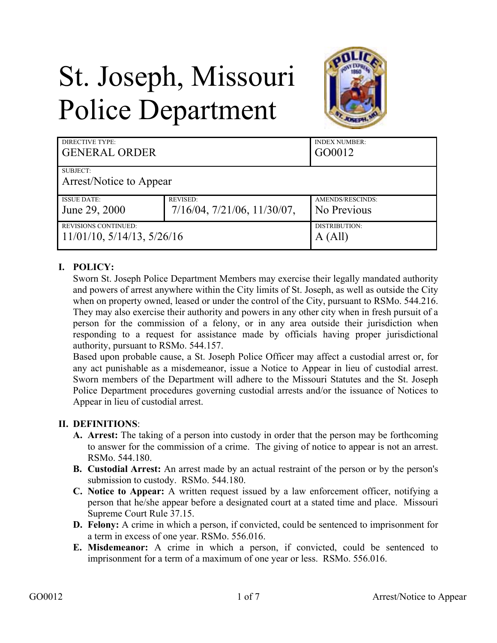# St. Joseph, Missouri Police Department



| DIRECTIVE TYPE:                     |                                      | <b>INDEX NUMBER:</b> |
|-------------------------------------|--------------------------------------|----------------------|
| <b>GENERAL ORDER</b>                |                                      | GO0012               |
| SUBJECT:<br>Arrest/Notice to Appear |                                      |                      |
| <b>ISSUE DATE:</b>                  | <b>REVISED:</b>                      | AMENDS/RESCINDS:     |
| June 29, 2000                       | $7/16/04$ , $7/21/06$ , $11/30/07$ , | No Previous          |
| <b>REVISIONS CONTINUED:</b>         |                                      | <b>DISTRIBUTION:</b> |
| $11/01/10$ , $5/14/13$ , $5/26/16$  |                                      | A (All)              |

## **I. POLICY:**

Sworn St. Joseph Police Department Members may exercise their legally mandated authority and powers of arrest anywhere within the City limits of St. Joseph, as well as outside the City when on property owned, leased or under the control of the City, pursuant to RSMo. 544.216. They may also exercise their authority and powers in any other city when in fresh pursuit of a person for the commission of a felony, or in any area outside their jurisdiction when responding to a request for assistance made by officials having proper jurisdictional authority, pursuant to RSMo. 544.157.

Based upon probable cause, a St. Joseph Police Officer may affect a custodial arrest or, for any act punishable as a misdemeanor, issue a Notice to Appear in lieu of custodial arrest. Sworn members of the Department will adhere to the Missouri Statutes and the St. Joseph Police Department procedures governing custodial arrests and/or the issuance of Notices to Appear in lieu of custodial arrest.

## **II. DEFINITIONS**:

- **A. Arrest:** The taking of a person into custody in order that the person may be forthcoming to answer for the commission of a crime. The giving of notice to appear is not an arrest. RSMo. 544.180.
- **B. Custodial Arrest:** An arrest made by an actual restraint of the person or by the person's submission to custody. RSMo. 544.180.
- **C. Notice to Appear:** A written request issued by a law enforcement officer, notifying a person that he/she appear before a designated court at a stated time and place. Missouri Supreme Court Rule 37.15.
- **D. Felony:** A crime in which a person, if convicted, could be sentenced to imprisonment for a term in excess of one year. RSMo. 556.016.
- **E. Misdemeanor:** A crime in which a person, if convicted, could be sentenced to imprisonment for a term of a maximum of one year or less. RSMo. 556.016.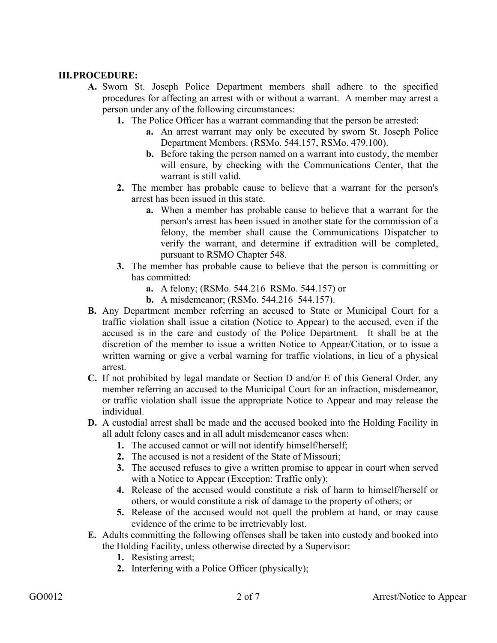## **III.PROCEDURE:**

- **A.** Sworn St. Joseph Police Department members shall adhere to the specified procedures for affecting an arrest with or without a warrant. A member may arrest a person under any of the following circumstances:
	- **1.** The Police Officer has a warrant commanding that the person be arrested:
		- **a.** An arrest warrant may only be executed by sworn St. Joseph Police Department Members. (RSMo. 544.157, RSMo. 479.100).
		- **b.** Before taking the person named on a warrant into custody, the member will ensure, by checking with the Communications Center, that the warrant is still valid.
	- **2.** The member has probable cause to believe that a warrant for the person's arrest has been issued in this state.
		- **a.** When a member has probable cause to believe that a warrant for the person's arrest has been issued in another state for the commission of a felony, the member shall cause the Communications Dispatcher to verify the warrant, and determine if extradition will be completed, pursuant to RSMO Chapter 548.
	- **3.** The member has probable cause to believe that the person is committing or has committed:
		- **a.** A felony; (RSMo. 544.216 RSMo. 544.157) or
		- **b.** A misdemeanor; (RSMo. 544.216 544.157).
- **B.** Any Department member referring an accused to State or Municipal Court for a traffic violation shall issue a citation (Notice to Appear) to the accused, even if the accused is in the care and custody of the Police Department. It shall be at the discretion of the member to issue a written Notice to Appear/Citation, or to issue a written warning or give a verbal warning for traffic violations, in lieu of a physical arrest.
- **C.** If not prohibited by legal mandate or Section D and/or E of this General Order, any member referring an accused to the Municipal Court for an infraction, misdemeanor, or traffic violation shall issue the appropriate Notice to Appear and may release the individual.
- **D.** A custodial arrest shall be made and the accused booked into the Holding Facility in all adult felony cases and in all adult misdemeanor cases when:
	- **1.** The accused cannot or will not identify himself/herself;
	- **2.** The accused is not a resident of the State of Missouri;
	- **3.** The accused refuses to give a written promise to appear in court when served with a Notice to Appear (Exception: Traffic only);
	- **4.** Release of the accused would constitute a risk of harm to himself/herself or others, or would constitute a risk of damage to the property of others; or
	- **5.** Release of the accused would not quell the problem at hand, or may cause evidence of the crime to be irretrievably lost.
- **E.** Adults committing the following offenses shall be taken into custody and booked into the Holding Facility, unless otherwise directed by a Supervisor:
	- **1.** Resisting arrest;
	- **2.** Interfering with a Police Officer (physically);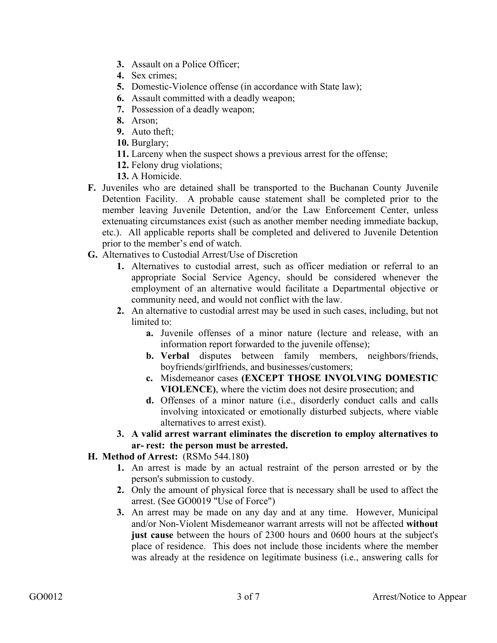- **3.** Assault on a Police Officer;
- **4.** Sex crimes;
- **5.** Domestic-Violence offense (in accordance with State law);
- **6.** Assault committed with a deadly weapon;
- **7.** Possession of a deadly weapon;
- **8.** Arson;
- **9.** Auto theft;
- **10.** Burglary;
- **11.** Larceny when the suspect shows a previous arrest for the offense;
- **12.** Felony drug violations;
- **13.** A Homicide.
- **F.** Juveniles who are detained shall be transported to the Buchanan County Juvenile Detention Facility. A probable cause statement shall be completed prior to the member leaving Juvenile Detention, and/or the Law Enforcement Center, unless extenuating circumstances exist (such as another member needing immediate backup, etc.). All applicable reports shall be completed and delivered to Juvenile Detention prior to the member's end of watch.
- **G.** Alternatives to Custodial Arrest/Use of Discretion
	- **1.** Alternatives to custodial arrest, such as officer mediation or referral to an appropriate Social Service Agency, should be considered whenever the employment of an alternative would facilitate a Departmental objective or community need, and would not conflict with the law.
	- **2.** An alternative to custodial arrest may be used in such cases, including, but not limited to:
		- **a.** Juvenile offenses of a minor nature (lecture and release, with an information report forwarded to the juvenile offense);
		- **b. Verbal** disputes between family members, neighbors/friends, boyfriends/girlfriends, and businesses/customers;
		- **c.** Misdemeanor cases **(EXCEPT THOSE INVOLVING DOMESTIC VIOLENCE)**, where the victim does not desire prosecution; and
		- **d.** Offenses of a minor nature (i.e., disorderly conduct calls and calls involving intoxicated or emotionally disturbed subjects, where viable alternatives to arrest exist).
	- **3. A valid arrest warrant eliminates the discretion to employ alternatives to ar- rest: the person must be arrested.**

## **H. Method of Arrest:** (RSMo 544.180**)**

- **1.** An arrest is made by an actual restraint of the person arrested or by the person's submission to custody.
- **2.** Only the amount of physical force that is necessary shall be used to affect the arrest. (See GO0019 "Use of Force")
- **3.** An arrest may be made on any day and at any time. However, Municipal and/or Non-Violent Misdemeanor warrant arrests will not be affected **without just cause** between the hours of 2300 hours and 0600 hours at the subject's place of residence. This does not include those incidents where the member was already at the residence on legitimate business (i.e., answering calls for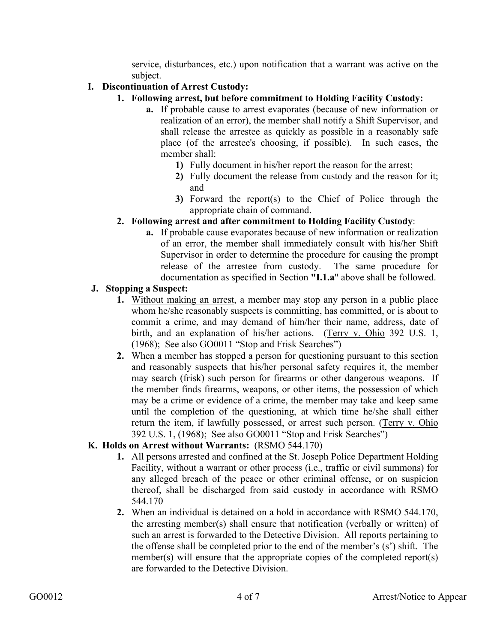service, disturbances, etc.) upon notification that a warrant was active on the subject.

## **I. Discontinuation of Arrest Custody:**

- **1. Following arrest, but before commitment to Holding Facility Custody:**
	- **a.** If probable cause to arrest evaporates (because of new information or realization of an error), the member shall notify a Shift Supervisor, and shall release the arrestee as quickly as possible in a reasonably safe place (of the arrestee's choosing, if possible). In such cases, the member shall:
		- **1)** Fully document in his/her report the reason for the arrest;
		- **2)** Fully document the release from custody and the reason for it; and
		- **3)** Forward the report(s) to the Chief of Police through the appropriate chain of command.

## **2. Following arrest and after commitment to Holding Facility Custody**:

**a.** If probable cause evaporates because of new information or realization of an error, the member shall immediately consult with his/her Shift Supervisor in order to determine the procedure for causing the prompt release of the arrestee from custody. The same procedure for documentation as specified in Section **"I.1.a**" above shall be followed.

#### **J. Stopping a Suspect:**

- **1.** Without making an arrest, a member may stop any person in a public place whom he/she reasonably suspects is committing, has committed, or is about to commit a crime, and may demand of him/her their name, address, date of birth, and an explanation of his/her actions. (Terry v. Ohio 392 U.S. 1, (1968); See also GO0011 "Stop and Frisk Searches")
- **2.** When a member has stopped a person for questioning pursuant to this section and reasonably suspects that his/her personal safety requires it, the member may search (frisk) such person for firearms or other dangerous weapons. If the member finds firearms, weapons, or other items, the possession of which may be a crime or evidence of a crime, the member may take and keep same until the completion of the questioning, at which time he/she shall either return the item, if lawfully possessed, or arrest such person. (Terry v. Ohio 392 U.S. 1, (1968); See also GO0011 "Stop and Frisk Searches")

## **K. Holds on Arrest without Warrants:** (RSMO 544.170)

- **1.** All persons arrested and confined at the St. Joseph Police Department Holding Facility, without a warrant or other process (i.e., traffic or civil summons) for any alleged breach of the peace or other criminal offense, or on suspicion thereof, shall be discharged from said custody in accordance with RSMO 544.170
- **2.** When an individual is detained on a hold in accordance with RSMO 544.170, the arresting member(s) shall ensure that notification (verbally or written) of such an arrest is forwarded to the Detective Division. All reports pertaining to the offense shall be completed prior to the end of the member's (s') shift. The member(s) will ensure that the appropriate copies of the completed report(s) are forwarded to the Detective Division.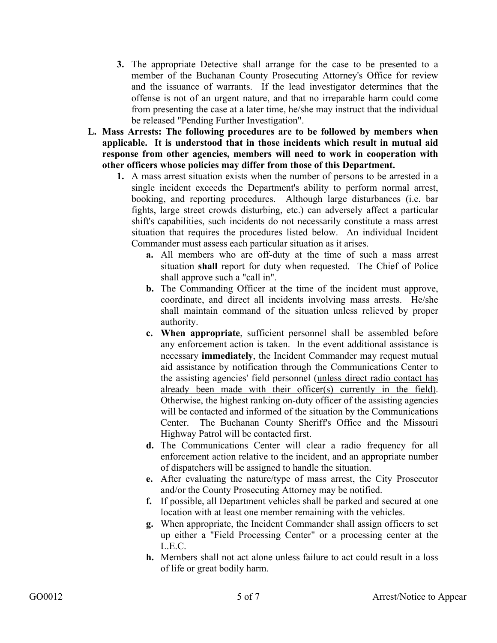- **3.** The appropriate Detective shall arrange for the case to be presented to a member of the Buchanan County Prosecuting Attorney's Office for review and the issuance of warrants. If the lead investigator determines that the offense is not of an urgent nature, and that no irreparable harm could come from presenting the case at a later time, he/she may instruct that the individual be released "Pending Further Investigation".
- **L. Mass Arrests: The following procedures are to be followed by members when applicable. It is understood that in those incidents which result in mutual aid response from other agencies, members will need to work in cooperation with other officers whose policies may differ from those of this Department.**
	- **1.** A mass arrest situation exists when the number of persons to be arrested in a single incident exceeds the Department's ability to perform normal arrest, booking, and reporting procedures. Although large disturbances (i.e. bar fights, large street crowds disturbing, etc.) can adversely affect a particular shift's capabilities, such incidents do not necessarily constitute a mass arrest situation that requires the procedures listed below. An individual Incident Commander must assess each particular situation as it arises.
		- **a.** All members who are off-duty at the time of such a mass arrest situation **shall** report for duty when requested. The Chief of Police shall approve such a "call in".
		- **b.** The Commanding Officer at the time of the incident must approve, coordinate, and direct all incidents involving mass arrests. He/she shall maintain command of the situation unless relieved by proper authority.
		- **c. When appropriate**, sufficient personnel shall be assembled before any enforcement action is taken. In the event additional assistance is necessary **immediately**, the Incident Commander may request mutual aid assistance by notification through the Communications Center to the assisting agencies' field personnel (unless direct radio contact has already been made with their officer(s) currently in the field). Otherwise, the highest ranking on-duty officer of the assisting agencies will be contacted and informed of the situation by the Communications Center. The Buchanan County Sheriff's Office and the Missouri Highway Patrol will be contacted first.
		- **d.** The Communications Center will clear a radio frequency for all enforcement action relative to the incident, and an appropriate number of dispatchers will be assigned to handle the situation.
		- **e.** After evaluating the nature/type of mass arrest, the City Prosecutor and/or the County Prosecuting Attorney may be notified.
		- **f.** If possible, all Department vehicles shall be parked and secured at one location with at least one member remaining with the vehicles.
		- **g.** When appropriate, the Incident Commander shall assign officers to set up either a "Field Processing Center" or a processing center at the L.E.C.
		- **h.** Members shall not act alone unless failure to act could result in a loss of life or great bodily harm.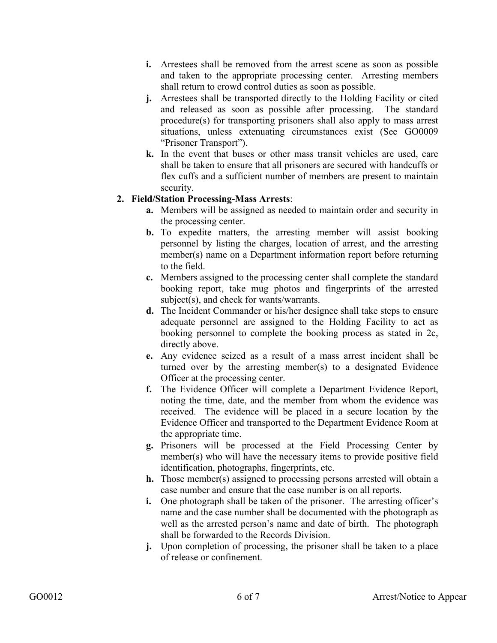- **i.** Arrestees shall be removed from the arrest scene as soon as possible and taken to the appropriate processing center. Arresting members shall return to crowd control duties as soon as possible.
- **j.** Arrestees shall be transported directly to the Holding Facility or cited and released as soon as possible after processing. The standard procedure(s) for transporting prisoners shall also apply to mass arrest situations, unless extenuating circumstances exist (See GO0009 "Prisoner Transport").
- **k.** In the event that buses or other mass transit vehicles are used, care shall be taken to ensure that all prisoners are secured with handcuffs or flex cuffs and a sufficient number of members are present to maintain security.

## **2. Field/Station Processing-Mass Arrests**:

- **a.** Members will be assigned as needed to maintain order and security in the processing center.
- **b.** To expedite matters, the arresting member will assist booking personnel by listing the charges, location of arrest, and the arresting member(s) name on a Department information report before returning to the field.
- **c.** Members assigned to the processing center shall complete the standard booking report, take mug photos and fingerprints of the arrested subject(s), and check for wants/warrants.
- **d.** The Incident Commander or his/her designee shall take steps to ensure adequate personnel are assigned to the Holding Facility to act as booking personnel to complete the booking process as stated in 2c, directly above.
- **e.** Any evidence seized as a result of a mass arrest incident shall be turned over by the arresting member(s) to a designated Evidence Officer at the processing center.
- **f.** The Evidence Officer will complete a Department Evidence Report, noting the time, date, and the member from whom the evidence was received. The evidence will be placed in a secure location by the Evidence Officer and transported to the Department Evidence Room at the appropriate time.
- **g.** Prisoners will be processed at the Field Processing Center by member(s) who will have the necessary items to provide positive field identification, photographs, fingerprints, etc.
- **h.** Those member(s) assigned to processing persons arrested will obtain a case number and ensure that the case number is on all reports.
- **i.** One photograph shall be taken of the prisoner. The arresting officer's name and the case number shall be documented with the photograph as well as the arrested person's name and date of birth. The photograph shall be forwarded to the Records Division.
- **j.** Upon completion of processing, the prisoner shall be taken to a place of release or confinement.